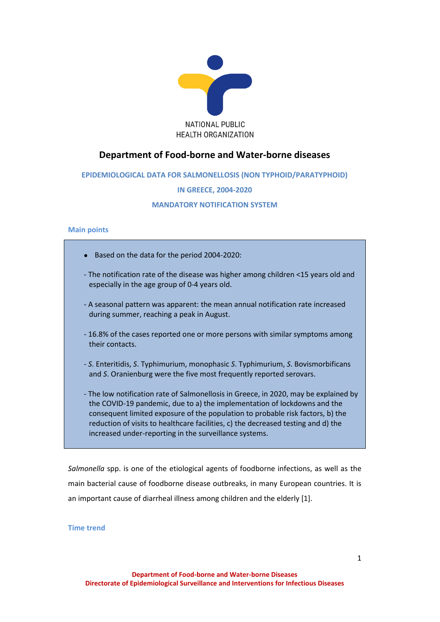

# **Department of Food-borne and Water-borne diseases**

# **EPIDEMIOLOGICAL DATA FOR SALMONELLOSIS (NON TYPHOID/PARATYPHOID)**

# **IN GREECE, 2004-2020**

# **MANDATORY NOTIFICATION SYSTEM**

# **Main points**

- Based on the data for the period 2004-2020:
- The notification rate of the disease was higher among children <15 years old and especially in the age group of 0-4 years old.
- A seasonal pattern was apparent: the mean annual notification rate increased during summer, reaching a peak in August.
- 16.8% of the cases reported one or more persons with similar symptoms among their contacts.
- *S*. Enteritidis, *S*. Typhimurium, monophasic *S*. Typhimurium, *S*. Bovismorbificans and *S*. Oranienburg were the five most frequently reported serovars.
- The low notification rate of Salmonellosis in Greece, in 2020, may be explained by the COVID-19 pandemic, due to a) the implementation of lockdowns and the consequent limited exposure of the population to probable risk factors, b) the reduction of visits to healthcare facilities, c) the decreased testing and d) the increased under-reporting in the surveillance systems.

*Salmonella* spp. is one of the etiological agents of foodborne infections, as well as the main bacterial cause of foodborne disease outbreaks, in many European countries. It is an important cause of diarrheal illness among children and the elderly [1].

**Time trend**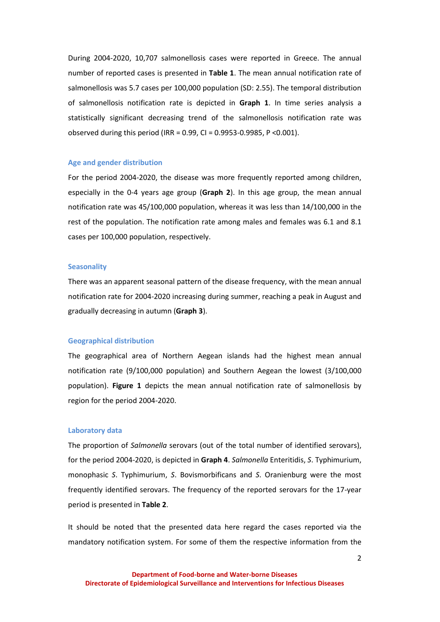During 2004-2020, 10,707 salmonellosis cases were reported in Greece. The annual number of reported cases is presented in **Table 1**. The mean annual notification rate of salmonellosis was 5.7 cases per 100,000 population (SD: 2.55). The temporal distribution of salmonellosis notification rate is depicted in **Graph 1**. In time series analysis a statistically significant decreasing trend of the salmonellosis notification rate was observed during this period (IRR = 0.99, CI = 0.9953-0.9985, P <0.001).

## **Age and gender distribution**

For the period 2004-2020, the disease was more frequently reported among children, especially in the 0-4 years age group (**Graph 2**). In this age group, the mean annual notification rate was 45/100,000 population, whereas it was less than 14/100,000 in the rest of the population. The notification rate among males and females was 6.1 and 8.1 cases per 100,000 population, respectively.

#### **Seasonality**

There was an apparent seasonal pattern of the disease frequency, with the mean annual notification rate for 2004-2020 increasing during summer, reaching a peak in August and gradually decreasing in autumn (**Graph 3**).

#### **Geographical distribution**

The geographical area of Northern Aegean islands had the highest mean annual notification rate (9/100,000 population) and Southern Aegean the lowest (3/100,000 population). **Figure 1** depicts the mean annual notification rate of salmonellosis by region for the period 2004-2020.

#### **Laboratory data**

The proportion of *Salmonella* serovars (out of the total number of identified serovars), for the period 2004-2020, is depicted in **Graph 4**. *Salmonella* Enteritidis, *S*. Typhimurium, monophasic *S*. Typhimurium, *S*. Bovismorbificans and *S*. Oranienburg were the most frequently identified serovars. The frequency of the reported serovars for the 17-year period is presented in **Table 2**.

It should be noted that the presented data here regard the cases reported via the mandatory notification system. For some of them the respective information from the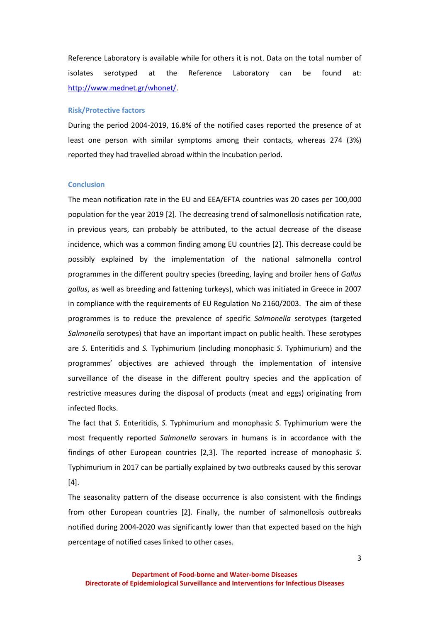Reference Laboratory is available while for others it is not. Data on the total number of isolates serotyped at the Reference Laboratory can be found at: [http://www.mednet.gr/whonet/.](http://www.mednet.gr/whonet/)

### **Risk/Protective factors**

During the period 2004-2019, 16.8% of the notified cases reported the presence of at least one person with similar symptoms among their contacts, whereas 274 (3%) reported they had travelled abroad within the incubation period.

### **Conclusion**

The mean notification rate in the EU and EEA/EFTA countries was 20 cases per 100,000 population for the year 2019 [2]. The decreasing trend of salmonellosis notification rate, in previous years, can probably be attributed, to the actual decrease of the disease incidence, which was a common finding among EU countries [2]. This decrease could be possibly explained by the implementation of the national salmonella control programmes in the different poultry species (breeding, laying and broiler hens of *Gallus gallus*, as well as breeding and fattening turkeys), which was initiated in Greece in 2007 in compliance with the requirements of EU Regulation No 2160/2003. The aim of these programmes is to reduce the prevalence of specific *Salmonella* serotypes (targeted *Salmonella* serotypes) that have an important impact on public health. These serotypes are *S.* Enteritidis and *S.* Typhimurium (including monophasic *S.* Typhimurium) and the programmes' objectives are achieved through the implementation of intensive surveillance of the disease in the different poultry species and the application of restrictive measures during the disposal of products (meat and eggs) originating from infected flocks.

The fact that *S*. Enteritidis, *S.* Typhimurium and monophasic *S*. Typhimurium were the most frequently reported *Salmonella* serovars in humans is in accordance with the findings of other European countries [2,3]. The reported increase of monophasic *S*. Typhimurium in 2017 can be partially explained by two outbreaks caused by this serovar [4].

The seasonality pattern of the disease occurrence is also consistent with the findings from other European countries [2]. Finally, the number of salmonellosis outbreaks notified during 2004-2020 was significantly lower than that expected based on the high percentage of notified cases linked to other cases.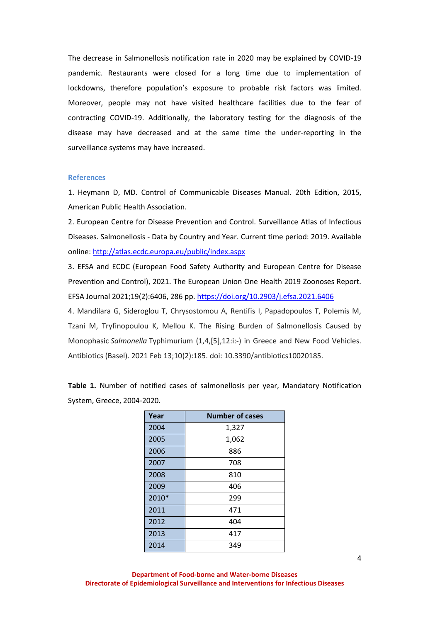The decrease in Salmonellosis notification rate in 2020 may be explained by COVID-19 pandemic. Restaurants were closed for a long time due to implementation of lockdowns, therefore population's exposure to probable risk factors was limited. Moreover, people may not have visited healthcare facilities due to the fear of contracting COVID-19. Additionally, the laboratory testing for the diagnosis of the disease may have decreased and at the same time the under-reporting in the surveillance systems may have increased.

### **References**

1. Heymann D, MD. Control of Communicable Diseases Manual. 20th Edition, 2015, American Public Health Association.

2. European Centre for Disease Prevention and Control. Surveillance Atlas of Infectious Diseases. Salmonellosis - Data by Country and Year. Current time period: 2019. Available online[: http://atlas.ecdc.europa.eu/public/index.aspx](http://atlas.ecdc.europa.eu/public/index.aspx)

3. EFSA and ECDC (European Food Safety Authority and European Centre for Disease Prevention and Control), 2021. The European Union One Health 2019 Zoonoses Report. EFSA Journal 2021;19(2):6406, 286 pp[. https://doi.org/10.2903/j.efsa.2021.6406](https://doi.org/10.2903/j.efsa.2021.6406)

4. Mandilara G, Sideroglou T, Chrysostomou A, Rentifis I, Papadopoulos T, Polemis M, Tzani M, Tryfinopoulou K, Mellou K. The Rising Burden of Salmonellosis Caused by Monophasic *Salmonella* Typhimurium (1,4,[5],12:i:-) in Greece and New Food Vehicles. Antibiotics (Basel). 2021 Feb 13;10(2):185. doi: 10.3390/antibiotics10020185.

**Table 1.** Number of notified cases of salmonellosis per year, Mandatory Notification System, Greece, 2004-2020.

| Year  | <b>Number of cases</b> |  |  |  |
|-------|------------------------|--|--|--|
| 2004  | 1,327                  |  |  |  |
| 2005  | 1,062                  |  |  |  |
| 2006  | 886                    |  |  |  |
| 2007  | 708                    |  |  |  |
| 2008  | 810                    |  |  |  |
| 2009  | 406                    |  |  |  |
| 2010* | 299                    |  |  |  |
| 2011  | 471                    |  |  |  |
| 2012  | 404                    |  |  |  |
| 2013  | 417                    |  |  |  |
| 2014  | 349                    |  |  |  |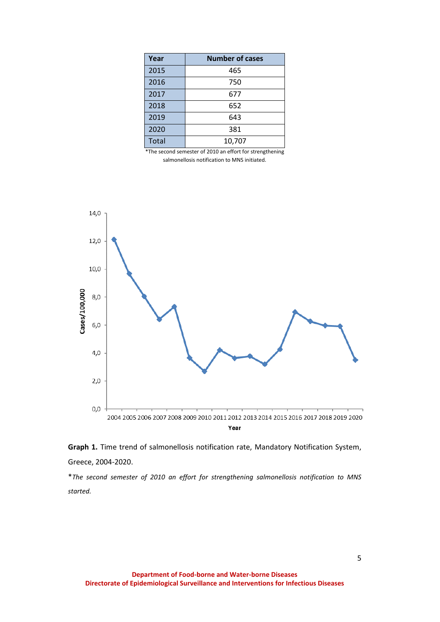| Year         | <b>Number of cases</b> |  |  |  |  |
|--------------|------------------------|--|--|--|--|
| 2015         | 465                    |  |  |  |  |
| 2016         | 750                    |  |  |  |  |
| 2017         | 677                    |  |  |  |  |
| 2018         | 652                    |  |  |  |  |
| 2019         | 643                    |  |  |  |  |
| 2020         | 381                    |  |  |  |  |
| <b>Total</b> | 10,707                 |  |  |  |  |

\*The second semester of 2010 an effort for strengthening salmonellosis notification to MNS initiated.



**Graph 1.** Time trend of salmonellosis notification rate, Mandatory Notification System, Greece, 2004-2020.

\**The second semester of 2010 an effort for strengthening salmonellosis notification to MNS started.*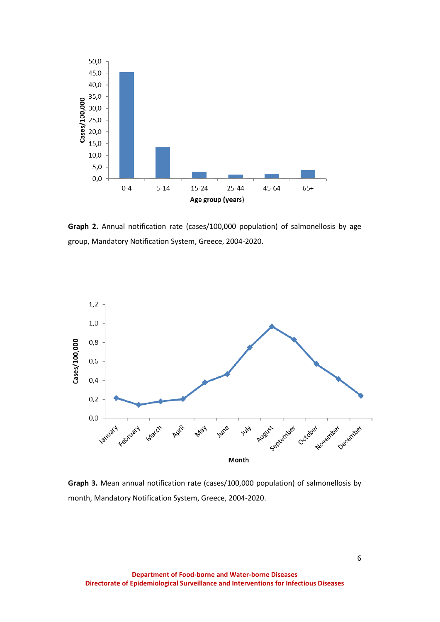

**Graph 2.** Annual notification rate (cases/100,000 population) of salmonellosis by age group, Mandatory Notification System, Greece, 2004-2020.



**Graph 3.** Mean annual notification rate (cases/100,000 population) of salmonellosis by month, Mandatory Notification System, Greece, 2004-2020.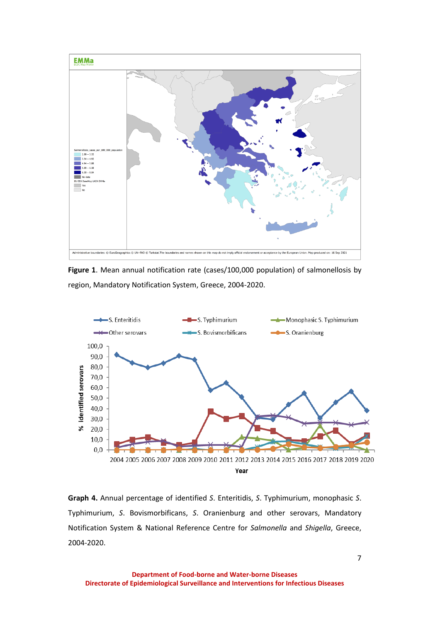

**Figure 1**. Mean annual notification rate (cases/100,000 population) of salmonellosis by region, Mandatory Notification System, Greece, 2004-2020.



**Graph 4.** Annual percentage of identified *S*. Enteritidis, *S*. Typhimurium, monophasic *S*. Typhimurium, *S*. Bovismorbificans, *S*. Oranienburg and other serovars, Mandatory Notification System & National Reference Centre for *Salmonella* and *Shigella*, Greece, 2004-2020.